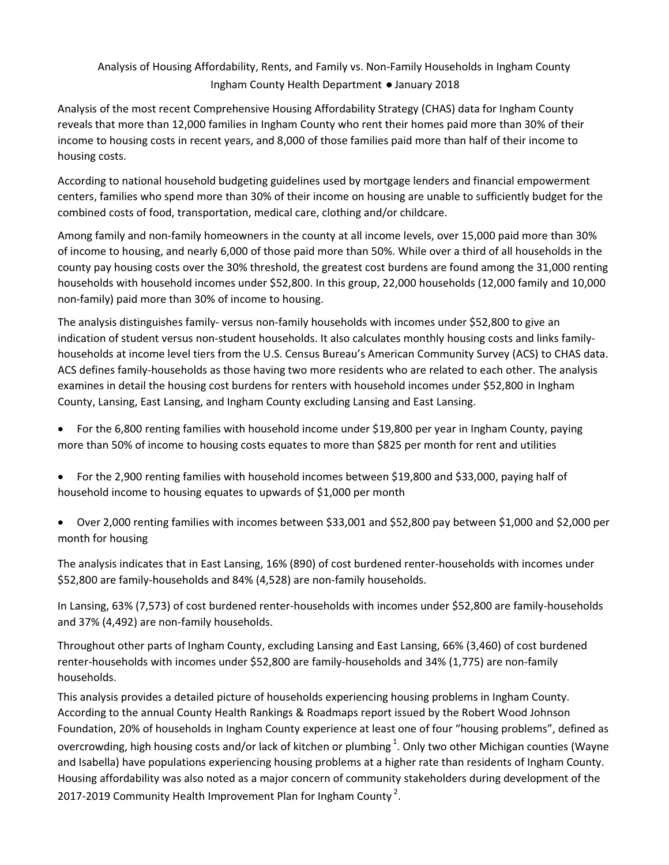# Analysis of Housing Affordability, Rents, and Family vs. Non-Family Households in Ingham County Ingham County Health Department ● January 2018

Analysis of the most recent Comprehensive Housing Affordability Strategy (CHAS) data for Ingham County reveals that more than 12,000 families in Ingham County who rent their homes paid more than 30% of their income to housing costs in recent years, and 8,000 of those families paid more than half of their income to housing costs.

According to national household budgeting guidelines used by mortgage lenders and financial empowerment centers, families who spend more than 30% of their income on housing are unable to sufficiently budget for the combined costs of food, transportation, medical care, clothing and/or childcare.

Among family and non-family homeowners in the county at all income levels, over 15,000 paid more than 30% of income to housing, and nearly 6,000 of those paid more than 50%. While over a third of all households in the county pay housing costs over the 30% threshold, the greatest cost burdens are found among the 31,000 renting households with household incomes under \$52,800. In this group, 22,000 households (12,000 family and 10,000 non-family) paid more than 30% of income to housing.

The analysis distinguishes family-versus non-family households with incomes under \$52,800 to give an indication of student versus non-student households. It also calculates monthly housing costs and links familyhouseholds at income level tiers from the U.S. Census Bureau's American Community Survey (ACS) to CHAS data. ACS defines family-households as those having two more residents who are related to each other. The analysis examines in detail the housing cost burdens for renters with household incomes under \$52,800 in Ingham County, Lansing, East Lansing, and Ingham County excluding Lansing and East Lansing.

- � For the 6,800 renting families with household income under \$19,800 per year in Ingham County, paying more than 50% of income to housing costs equates to more than \$825 per month for rent and utilities
- � For the 2,900 renting families with household incomes between \$19,800 and \$33,000, paying half of household income to housing equates to upwards of \$1,000 per month
- � Over 2,000 renting families with incomes between \$33,001 and \$52,800 pay between \$1,000 and \$2,000 per month for housing

The analysis indicates that in East Lansing, 16% (890) of cost burdened renter-households with incomes under \$52,800 are family-households and 84% (4,528) are non-family households.

In Lansing, 63% (7,573) of cost burdened renter-households with incomes under \$52,800 are family-households and 37% (4,492) are non-family households.

Throughout other parts of Ingham County, excluding Lansing and East Lansing, 66% (3,460) of cost burdened renter-households with incomes under \$52,800 are family-households and 34% (1,775) are non-family households.

This analysis provides a detailed picture of households experiencing housing problems in Ingham County. According to the annual County Health Rankings & Roadmaps report issued by the Robert Wood Johnson Foundation, 20% of households in Ingham County experience at least one of four "housing problems", defined as overcrowding, high housing costs and/or lack of kitchen or plumbing  $^1$ . Only two other Michigan counties (Wayne and Isabella) have populations experiencing housing problems at a higher rate than residents of Ingham County. Housing affordability was also noted as a major concern of community stakeholders during development of the 2017-2019 Community Health Improvement Plan for Ingham County<sup>2</sup>.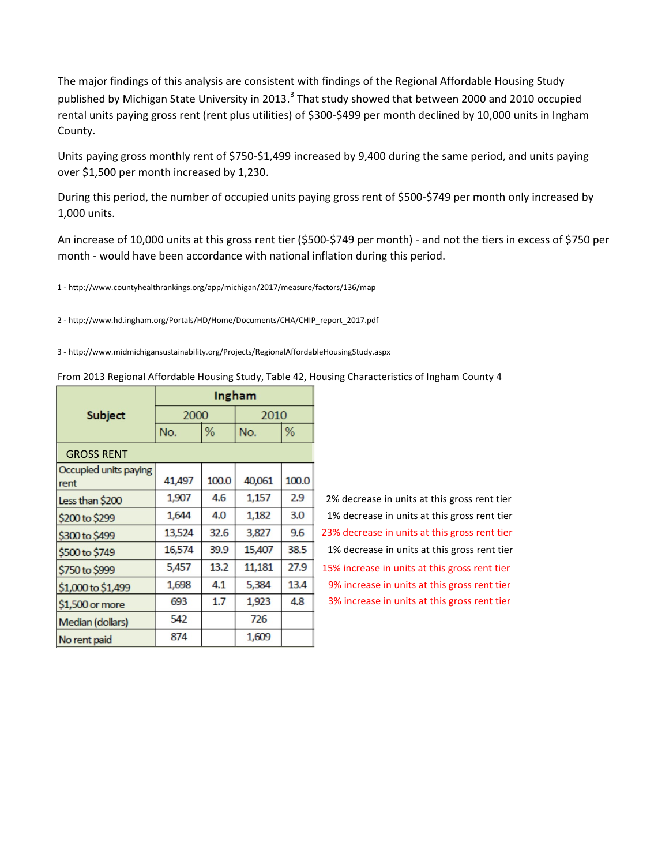The major findings of this analysis are consistent with findings of the Regional Affordable Housing Study published by Michigan State University in 2013.<sup>3</sup> That study showed that between 2000 and 2010 occupied rental units paying gross rent (rent plus utilities) of \$300-\$499 per month declined by 10,000 units in Ingham County.

Units paying gross monthly rent of \$750-\$1,499 increased by 9,400 during the same period, and units paying over \$1,500 per month increased by 1,230.

During this period, the number of occupied units paying gross rent of \$500-\$749 per month only increased by 1,000 units.

An increase of 10,000 units at this gross rent tier (\$500-\$749 per month) - and not the tiers in excess of \$750 per month - would have been accordance with national inflation during this period.

1 http://www.countyhealthrankings.org/app/michigan/2017/measure/factors/136/map

2 http://www.hd.ingham.org/Portals/HD/Home/Documents/CHA/CHIP\_report\_2017.pdf

3 http://www.midmichigansustainability.org/Projects/RegionalAffordableHousingStudy.aspx

From 2013 Regional Affordable Housing Study, Table 42, Housing Characteristics of Ingham County 4

|                               | Ingham |       |        |       |  |
|-------------------------------|--------|-------|--------|-------|--|
| Subject                       |        | 2000  |        | 2010  |  |
|                               | No.    | %     |        | %     |  |
| <b>GROSS RENT</b>             |        |       |        |       |  |
| Occupied units paying<br>rent | 41,497 | 100.0 | 40,061 | 100.0 |  |
| Less than \$200               | 1,907  | 4.6   | 1,157  | 2.9   |  |
| \$200 to \$299                | 1,644  | 4.0   | 1,182  | 3.0   |  |
| \$300 to \$499                | 13,524 | 32.6  | 3,827  | 9.6   |  |
| \$500 to \$749                | 16,574 | 39.9  | 15,407 | 38.5  |  |
| \$750 to \$999                | 5,457  | 13.2  | 11,181 | 27.9  |  |
| \$1,000 to \$1,499            | 1,698  | 4.1   | 5,384  | 13.4  |  |
| \$1,500 or more               | 693    | 1.7   | 1,923  | 4.8   |  |
| Median (dollars)              | 542    |       | 726    |       |  |
| No rent paid                  | 874    |       | 1,609  |       |  |

23% decrease in units at this gross rent tier 1% decrease in units at this gross rent tier 15% increase in units at this gross rent tier 9% increase in units at this gross rent tier 3% increase in units at this gross rent tier 2% decrease in units at this gross rent tier 1% decrease in units at this gross rent tier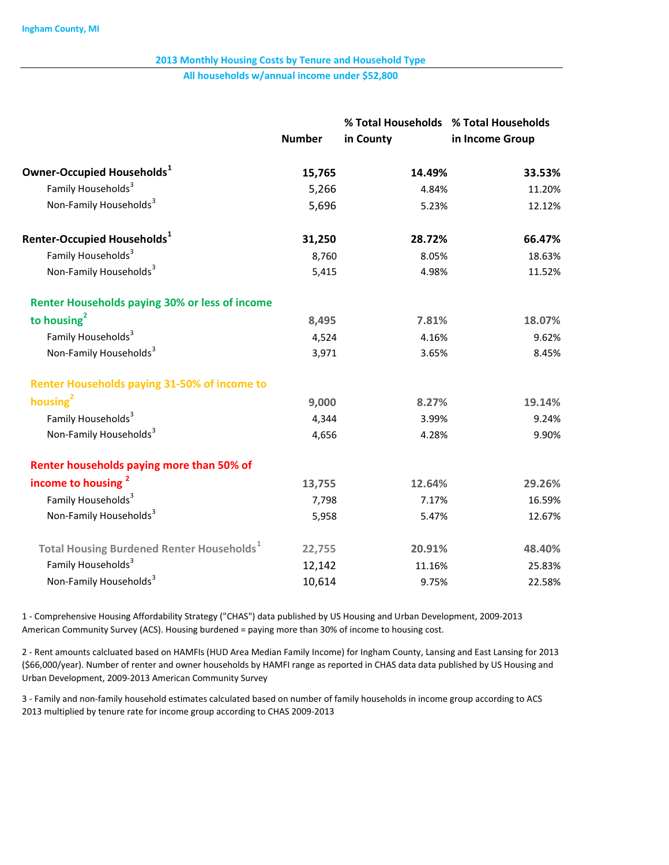All households w/annual income under \$52,800

|                                                              | <b>Number</b> | % Total Households % Total Households<br>in County | in Income Group |  |
|--------------------------------------------------------------|---------------|----------------------------------------------------|-----------------|--|
|                                                              |               |                                                    |                 |  |
| Owner-Occupied Households <sup>1</sup>                       | 15,765        | 14.49%                                             | 33.53%          |  |
| Family Households <sup>3</sup>                               | 5,266         | 4.84%                                              | 11.20%          |  |
| Non-Family Households <sup>3</sup>                           | 5,696         | 5.23%                                              | 12.12%          |  |
| Renter-Occupied Households <sup>1</sup>                      | 31,250        | 28.72%                                             | 66.47%          |  |
| Family Households <sup>3</sup>                               | 8,760         | 8.05%                                              | 18.63%          |  |
| Non-Family Households <sup>3</sup>                           | 5,415         | 4.98%                                              | 11.52%          |  |
| <b>Renter Households paying 30% or less of income</b>        |               |                                                    |                 |  |
| to housing $2$                                               | 8,495         | 7.81%                                              | 18.07%          |  |
| Family Households <sup>3</sup>                               | 4,524         | 4.16%                                              | 9.62%           |  |
| Non-Family Households <sup>3</sup>                           | 3,971         | 3.65%                                              | 8.45%           |  |
| <b>Renter Households paying 31-50% of income to</b>          |               |                                                    |                 |  |
| housing <sup>2</sup>                                         | 9,000         | 8.27%                                              | 19.14%          |  |
| Family Households <sup>3</sup>                               | 4,344         | 3.99%                                              | 9.24%           |  |
| Non-Family Households <sup>3</sup>                           | 4,656         | 4.28%                                              | 9.90%           |  |
| Renter households paying more than 50% of                    |               |                                                    |                 |  |
| income to housing <sup>2</sup>                               | 13,755        | 12.64%                                             | 29.26%          |  |
| Family Households <sup>3</sup>                               | 7,798         | 7.17%                                              | 16.59%          |  |
| Non-Family Households <sup>3</sup>                           | 5,958         | 5.47%                                              | 12.67%          |  |
| <b>Total Housing Burdened Renter Households</b> <sup>1</sup> | 22,755        | 20.91%                                             | 48.40%          |  |
| Family Households <sup>3</sup>                               | 12,142        | 11.16%                                             | 25.83%          |  |
| Non-Family Households <sup>3</sup>                           | 10,614        | 9.75%                                              | 22.58%          |  |

1 - Comprehensive Housing Affordability Strategy ("CHAS") data published by US Housing and Urban Development, 2009-2013 American Community Survey (ACS). Housing burdened = paying more than 30% of income to housing cost.

2 - Rent amounts calcluated based on HAMFIs (HUD Area Median Family Income) for Ingham County, Lansing and East Lansing for 2013 (\$66,000/year). Number of renter and owner households by HAMFI range as reported in CHAS data data published by US Housing and Urban Development, 2009-2013 American Community Survey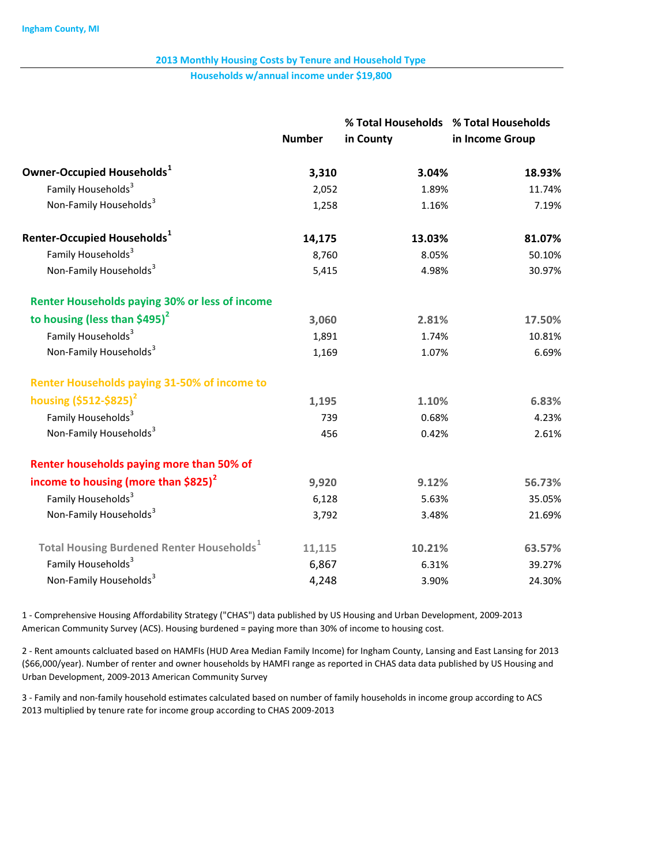Households w/annual income under \$19,800

|                                                              | <b>Number</b> | % Total Households % Total Households<br>in County | in Income Group |
|--------------------------------------------------------------|---------------|----------------------------------------------------|-----------------|
| Owner-Occupied Households <sup>1</sup>                       | 3,310         | 3.04%                                              | 18.93%          |
| Family Households <sup>3</sup>                               | 2,052         | 1.89%                                              | 11.74%          |
| Non-Family Households <sup>3</sup>                           | 1,258         | 1.16%                                              | 7.19%           |
| Renter-Occupied Households <sup>1</sup>                      | 14,175        | 13.03%                                             | 81.07%          |
| Family Households <sup>3</sup>                               | 8,760         | 8.05%                                              | 50.10%          |
| Non-Family Households <sup>3</sup>                           | 5,415         | 4.98%                                              | 30.97%          |
| <b>Renter Households paying 30% or less of income</b>        |               |                                                    |                 |
| to housing (less than \$495) $^2$                            | 3,060         | 2.81%                                              | 17.50%          |
| Family Households <sup>3</sup>                               | 1,891         | 1.74%                                              | 10.81%          |
| Non-Family Households <sup>3</sup>                           | 1,169         | 1.07%                                              | 6.69%           |
| <b>Renter Households paying 31-50% of income to</b>          |               |                                                    |                 |
| housing $(5512 - 5825)^2$                                    | 1,195         | 1.10%                                              | 6.83%           |
| Family Households <sup>3</sup>                               | 739           | 0.68%                                              | 4.23%           |
| Non-Family Households <sup>3</sup>                           | 456           | 0.42%                                              | 2.61%           |
| Renter households paying more than 50% of                    |               |                                                    |                 |
| income to housing (more than $$825$ ) <sup>2</sup>           | 9,920         | 9.12%                                              | 56.73%          |
| Family Households <sup>3</sup>                               | 6,128         | 5.63%                                              | 35.05%          |
| Non-Family Households <sup>3</sup>                           | 3,792         | 3.48%                                              | 21.69%          |
| <b>Total Housing Burdened Renter Households</b> <sup>1</sup> | 11,115        | 10.21%                                             | 63.57%          |
| Family Households <sup>3</sup>                               | 6,867         | 6.31%                                              | 39.27%          |
| Non-Family Households <sup>3</sup>                           | 4,248         | 3.90%                                              | 24.30%          |

1 Comprehensive Housing Affordability Strategy ("CHAS") data published by US Housing and Urban Development, 20092013 American Community Survey (ACS). Housing burdened = paying more than 30% of income to housing cost.

2 Rent amounts calcluated based on HAMFIs (HUD Area Median Family Income) for Ingham County, Lansing and East Lansing for 2013 (\$66,000/year). Number of renter and owner households by HAMFI range as reported in CHAS data data published by US Housing and Urban Development, 2009-2013 American Community Survey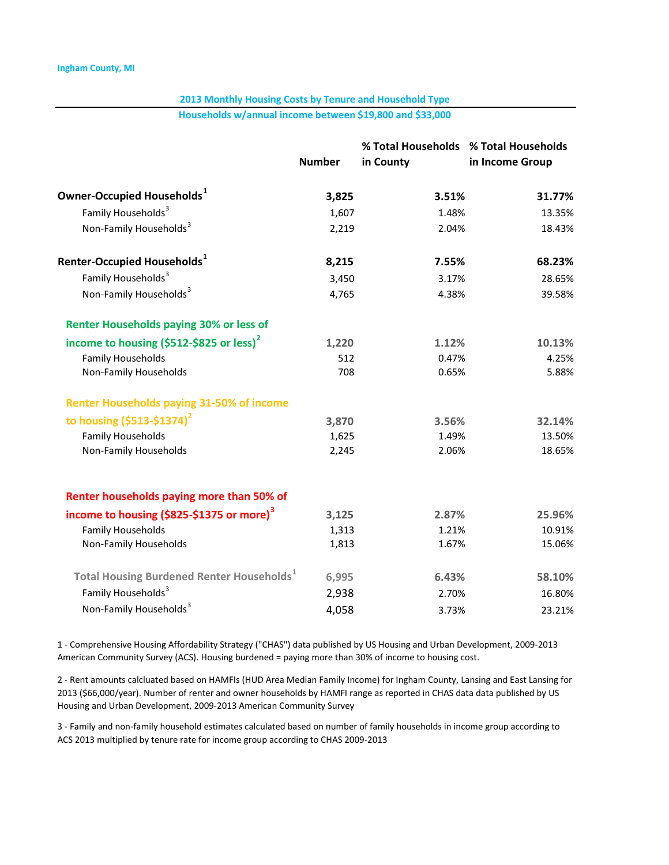Households w/annual income between \$19,800 and \$33,000

|                                                              |               | % Total Households % Total Households |                 |  |  |
|--------------------------------------------------------------|---------------|---------------------------------------|-----------------|--|--|
|                                                              | <b>Number</b> | in County                             | in Income Group |  |  |
| Owner-Occupied Households <sup>1</sup>                       | 3,825         | 3.51%                                 | 31.77%          |  |  |
| Family Households <sup>3</sup>                               | 1,607         | 1.48%                                 | 13.35%          |  |  |
| Non-Family Households <sup>3</sup>                           | 2,219         | 2.04%                                 | 18.43%          |  |  |
| Renter-Occupied Households $^{\rm 1}$                        | 8,215         | 7.55%                                 | 68.23%          |  |  |
| Family Households <sup>3</sup>                               | 3,450         | 3.17%                                 | 28.65%          |  |  |
| Non-Family Households <sup>3</sup>                           | 4,765         | 4.38%                                 | 39.58%          |  |  |
| <b>Renter Households paying 30% or less of</b>               |               |                                       |                 |  |  |
| income to housing $(5512 - 5825)$ or less) <sup>2</sup>      | 1,220         | 1.12%                                 | 10.13%          |  |  |
| <b>Family Households</b>                                     | 512           | 0.47%                                 | 4.25%           |  |  |
| Non-Family Households                                        | 708           | 0.65%                                 | 5.88%           |  |  |
| <b>Renter Households paying 31-50% of income</b>             |               |                                       |                 |  |  |
| to housing $(5513 - 51374)^2$                                | 3,870         | 3.56%                                 | 32.14%          |  |  |
| <b>Family Households</b>                                     | 1,625         | 1.49%                                 | 13.50%          |  |  |
| Non-Family Households                                        | 2,245         | 2.06%                                 | 18.65%          |  |  |
| Renter households paying more than 50% of                    |               |                                       |                 |  |  |
| income to housing (\$825-\$1375 or more) <sup>3</sup>        | 3,125         | 2.87%                                 | 25.96%          |  |  |
| <b>Family Households</b>                                     | 1,313         | 1.21%                                 | 10.91%          |  |  |
| Non-Family Households                                        | 1,813         | 1.67%                                 | 15.06%          |  |  |
| <b>Total Housing Burdened Renter Households</b> <sup>1</sup> | 6,995         | 6.43%                                 | 58.10%          |  |  |
| Family Households <sup>3</sup>                               | 2,938         | 2.70%                                 | 16.80%          |  |  |
| Non-Family Households <sup>3</sup>                           | 4,058         | 3.73%                                 | 23.21%          |  |  |
|                                                              |               |                                       |                 |  |  |

1 - Comprehensive Housing Affordability Strategy ("CHAS") data published by US Housing and Urban Development, 2009-2013 American Community Survey (ACS). Housing burdened = paying more than 30% of income to housing cost.

2 - Rent amounts calcluated based on HAMFIs (HUD Area Median Family Income) for Ingham County, Lansing and East Lansing for 2013 (\$66,000/year). Number of renter and owner households by HAMFI range as reported in CHAS data data published by US Housing and Urban Development, 2009-2013 American Community Survey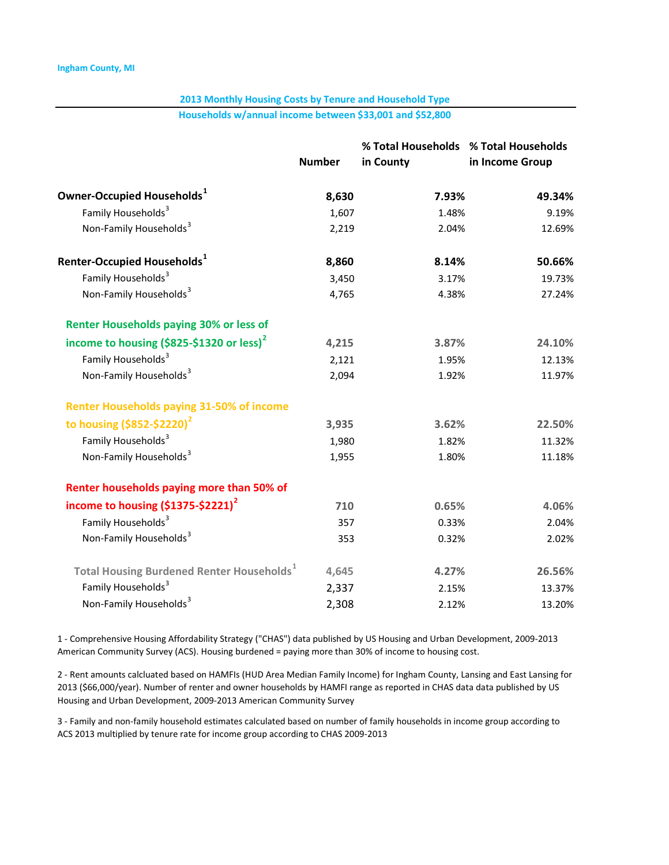Households w/annual income between \$33,001 and \$52,800

|                                                              | <b>Number</b> | % Total Households % Total Households<br>in County | in Income Group |
|--------------------------------------------------------------|---------------|----------------------------------------------------|-----------------|
| Owner-Occupied Households $^1$                               | 8,630         | 7.93%                                              | 49.34%          |
| Family Households <sup>3</sup>                               | 1,607         | 1.48%                                              | 9.19%           |
| Non-Family Households <sup>3</sup>                           | 2,219         | 2.04%                                              | 12.69%          |
| Renter-Occupied Households $^{\mathtt{1}}$                   | 8,860         | 8.14%                                              | 50.66%          |
| Family Households <sup>3</sup>                               | 3,450         | 3.17%                                              | 19.73%          |
| Non-Family Households <sup>3</sup>                           | 4,765         | 4.38%                                              | 27.24%          |
| <b>Renter Households paying 30% or less of</b>               |               |                                                    |                 |
| income to housing $( $825 - $1320$ or less) <sup>2</sup>     | 4,215         | 3.87%                                              | 24.10%          |
| Family Households <sup>3</sup>                               | 2,121         | 1.95%                                              | 12.13%          |
| Non-Family Households <sup>3</sup>                           | 2,094         | 1.92%                                              | 11.97%          |
| <b>Renter Households paying 31-50% of income</b>             |               |                                                    |                 |
| to housing $($ \$852-\$2220 $)^2$                            | 3,935         | 3.62%                                              | 22.50%          |
| Family Households <sup>3</sup>                               | 1,980         | 1.82%                                              | 11.32%          |
| Non-Family Households <sup>3</sup>                           | 1,955         | 1.80%                                              | 11.18%          |
| Renter households paying more than 50% of                    |               |                                                    |                 |
| income to housing $(51375 - 52221)^2$                        | 710           | 0.65%                                              | 4.06%           |
| Family Households <sup>3</sup>                               | 357           | 0.33%                                              | 2.04%           |
| Non-Family Households <sup>3</sup>                           | 353           | 0.32%                                              | 2.02%           |
| <b>Total Housing Burdened Renter Households</b> <sup>1</sup> | 4,645         | 4.27%                                              | 26.56%          |
| Family Households <sup>3</sup>                               | 2,337         | 2.15%                                              | 13.37%          |
| Non-Family Households <sup>3</sup>                           | 2,308         | 2.12%                                              | 13.20%          |

1 - Comprehensive Housing Affordability Strategy ("CHAS") data published by US Housing and Urban Development, 2009-2013 American Community Survey (ACS). Housing burdened = paying more than 30% of income to housing cost.

2 - Rent amounts calcluated based on HAMFIs (HUD Area Median Family Income) for Ingham County, Lansing and East Lansing for 2013 (\$66,000/year). Number of renter and owner households by HAMFI range as reported in CHAS data data published by US Housing and Urban Development, 2009-2013 American Community Survey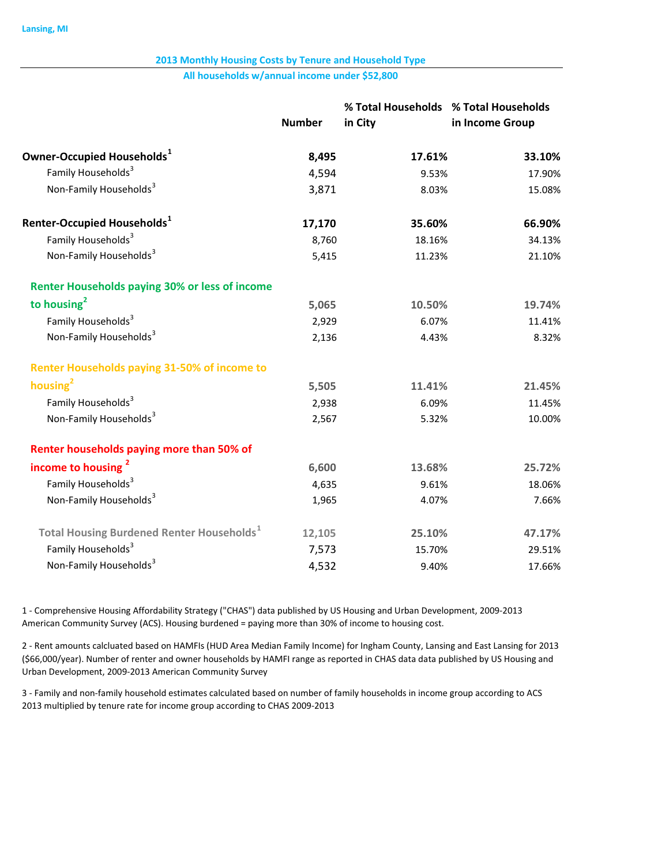#### All households w/annual income under \$52,800

|                                                              | <b>Number</b> | % Total Households % Total Households<br>in City | in Income Group |
|--------------------------------------------------------------|---------------|--------------------------------------------------|-----------------|
| Owner-Occupied Households <sup>1</sup>                       | 8,495         | 17.61%                                           | 33.10%          |
| Family Households <sup>3</sup>                               | 4,594         | 9.53%                                            | 17.90%          |
| Non-Family Households <sup>3</sup>                           | 3,871         | 8.03%                                            | 15.08%          |
| Renter-Occupied Households <sup>1</sup>                      | 17,170        | 35.60%                                           | 66.90%          |
| Family Households <sup>3</sup>                               | 8,760         | 18.16%                                           | 34.13%          |
| Non-Family Households <sup>3</sup>                           | 5,415         | 11.23%                                           | 21.10%          |
| <b>Renter Households paying 30% or less of income</b>        |               |                                                  |                 |
| to housing $2$                                               | 5,065         | 10.50%                                           | 19.74%          |
| Family Households <sup>3</sup>                               | 2,929         | 6.07%                                            | 11.41%          |
| Non-Family Households <sup>3</sup>                           | 2,136         | 4.43%                                            | 8.32%           |
| <b>Renter Households paying 31-50% of income to</b>          |               |                                                  |                 |
| housing <sup>2</sup>                                         | 5,505         | 11.41%                                           | 21.45%          |
| Family Households <sup>3</sup>                               | 2,938         | 6.09%                                            | 11.45%          |
| Non-Family Households <sup>3</sup>                           | 2,567         | 5.32%                                            | 10.00%          |
| Renter households paying more than 50% of                    |               |                                                  |                 |
| income to housing <sup>2</sup>                               | 6,600         | 13.68%                                           | 25.72%          |
| Family Households <sup>3</sup>                               | 4,635         | 9.61%                                            | 18.06%          |
| Non-Family Households <sup>3</sup>                           | 1,965         | 4.07%                                            | 7.66%           |
| <b>Total Housing Burdened Renter Households</b> <sup>1</sup> | 12,105        | 25.10%                                           | 47.17%          |
| Family Households <sup>3</sup>                               | 7,573         | 15.70%                                           | 29.51%          |
| Non-Family Households <sup>3</sup>                           | 4,532         | 9.40%                                            | 17.66%          |

1 - Comprehensive Housing Affordability Strategy ("CHAS") data published by US Housing and Urban Development, 2009-2013 American Community Survey (ACS). Housing burdened = paying more than 30% of income to housing cost.

2 Rent amounts calcluated based on HAMFIs (HUD Area Median Family Income) for Ingham County, Lansing and East Lansing for 2013 (\$66,000/year). Number of renter and owner households by HAMFI range as reported in CHAS data data published by US Housing and Urban Development, 2009-2013 American Community Survey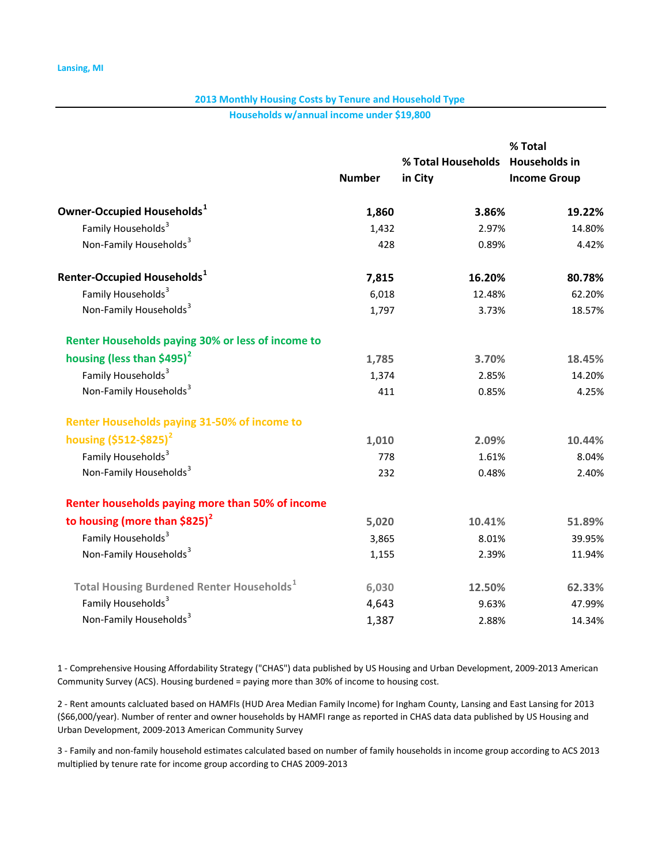Households w/annual income under \$19,800

|                                                          |               |                                             | % Total             |
|----------------------------------------------------------|---------------|---------------------------------------------|---------------------|
|                                                          | <b>Number</b> | % Total Households Households in<br>in City | <b>Income Group</b> |
|                                                          |               |                                             |                     |
| Owner-Occupied Households <sup>1</sup>                   | 1,860         | 3.86%                                       | 19.22%              |
| Family Households <sup>3</sup>                           | 1,432         | 2.97%                                       | 14.80%              |
| Non-Family Households <sup>3</sup>                       | 428           | 0.89%                                       | 4.42%               |
| Renter-Occupied Households <sup>1</sup>                  | 7,815         | 16.20%                                      | 80.78%              |
| Family Households <sup>3</sup>                           | 6,018         | 12.48%                                      | 62.20%              |
| Non-Family Households <sup>3</sup>                       | 1,797         | 3.73%                                       | 18.57%              |
| <b>Renter Households paying 30% or less of income to</b> |               |                                             |                     |
| housing (less than \$495) $2$                            | 1,785         | 3.70%                                       | 18.45%              |
| Family Households <sup>3</sup>                           | 1,374         | 2.85%                                       | 14.20%              |
| Non-Family Households <sup>3</sup>                       | 411           | 0.85%                                       | 4.25%               |
| <b>Renter Households paying 31-50% of income to</b>      |               |                                             |                     |
| housing $(5512 - 5825)^2$                                | 1,010         | 2.09%                                       | 10.44%              |
| Family Households <sup>3</sup>                           | 778           | 1.61%                                       | 8.04%               |
| Non-Family Households <sup>3</sup>                       | 232           | 0.48%                                       | 2.40%               |
| Renter households paying more than 50% of income         |               |                                             |                     |
| to housing (more than $$825$ ) <sup>2</sup>              | 5,020         | 10.41%                                      | 51.89%              |
| Family Households <sup>3</sup>                           | 3,865         | 8.01%                                       | 39.95%              |
| Non-Family Households <sup>3</sup>                       | 1,155         | 2.39%                                       | 11.94%              |
| <b>Total Housing Burdened Renter Households</b>          | 6,030         | 12.50%                                      | 62.33%              |
| Family Households <sup>3</sup>                           | 4,643         | 9.63%                                       | 47.99%              |
| Non-Family Households <sup>3</sup>                       | 1,387         | 2.88%                                       | 14.34%              |

1 - Comprehensive Housing Affordability Strategy ("CHAS") data published by US Housing and Urban Development, 2009-2013 American Community Survey (ACS). Housing burdened = paying more than 30% of income to housing cost.

2 - Rent amounts calcluated based on HAMFIs (HUD Area Median Family Income) for Ingham County, Lansing and East Lansing for 2013 (\$66,000/year). Number of renter and owner households by HAMFI range as reported in CHAS data data published by US Housing and Urban Development, 2009-2013 American Community Survey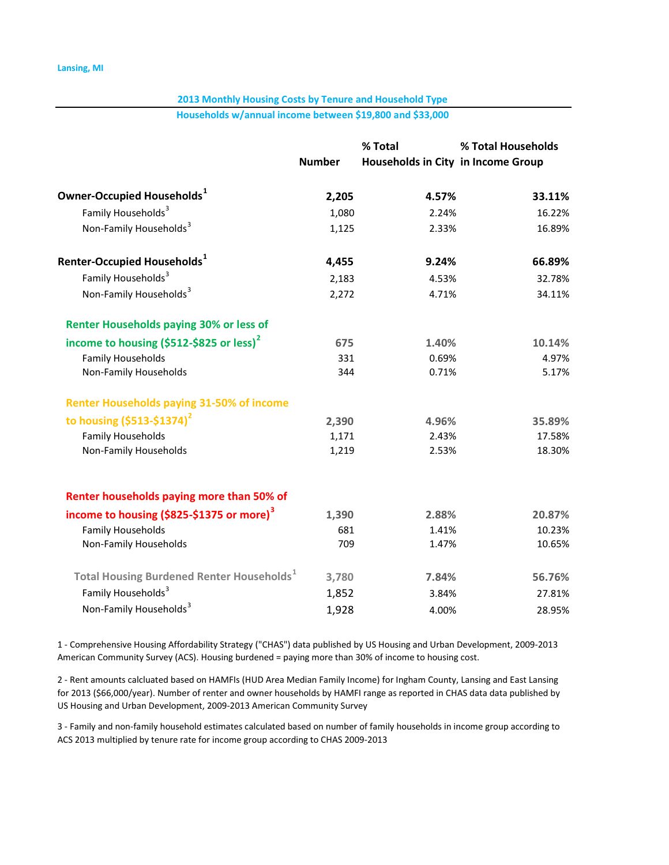Households w/annual income between \$19,800 and \$33,000

|                                                              | % Total       |                                    | % Total Households |  |
|--------------------------------------------------------------|---------------|------------------------------------|--------------------|--|
|                                                              | <b>Number</b> | Households in City in Income Group |                    |  |
| Owner-Occupied Households $^1$                               | 2,205         | 4.57%                              | 33.11%             |  |
| Family Households <sup>3</sup>                               | 1,080         | 2.24%                              | 16.22%             |  |
| Non-Family Households <sup>3</sup>                           | 1,125         | 2.33%                              | 16.89%             |  |
| Renter-Occupied Households $^{\rm 1}$                        | 4,455         | 9.24%                              | 66.89%             |  |
| Family Households <sup>3</sup>                               | 2,183         | 4.53%                              | 32.78%             |  |
| Non-Family Households <sup>3</sup>                           | 2,272         | 4.71%                              | 34.11%             |  |
| <b>Renter Households paying 30% or less of</b>               |               |                                    |                    |  |
| income to housing (\$512-\$825 or less) <sup>2</sup>         | 675           | 1.40%                              | 10.14%             |  |
| <b>Family Households</b>                                     | 331           | 0.69%                              | 4.97%              |  |
| Non-Family Households                                        | 344           | 0.71%                              | 5.17%              |  |
| <b>Renter Households paying 31-50% of income</b>             |               |                                    |                    |  |
| to housing $(5513 - 51374)^2$                                | 2,390         | 4.96%                              | 35.89%             |  |
| <b>Family Households</b>                                     | 1,171         | 2.43%                              | 17.58%             |  |
| Non-Family Households                                        | 1,219         | 2.53%                              | 18.30%             |  |
| Renter households paying more than 50% of                    |               |                                    |                    |  |
| income to housing (\$825-\$1375 or more) <sup>3</sup>        | 1,390         | 2.88%                              | 20.87%             |  |
| <b>Family Households</b>                                     | 681           | 1.41%                              | 10.23%             |  |
| Non-Family Households                                        | 709           | 1.47%                              | 10.65%             |  |
| <b>Total Housing Burdened Renter Households</b> <sup>1</sup> | 3,780         | 7.84%                              | 56.76%             |  |
| Family Households <sup>3</sup>                               | 1,852         | 3.84%                              | 27.81%             |  |
| Non-Family Households <sup>3</sup>                           | 1,928         | 4.00%                              | 28.95%             |  |
|                                                              |               |                                    |                    |  |

1 - Comprehensive Housing Affordability Strategy ("CHAS") data published by US Housing and Urban Development, 2009-2013 American Community Survey (ACS). Housing burdened = paying more than 30% of income to housing cost.

2 - Rent amounts calcluated based on HAMFIs (HUD Area Median Family Income) for Ingham County, Lansing and East Lansing for 2013 (\$66,000/year). Number of renter and owner households by HAMFI range as reported in CHAS data data published by US Housing and Urban Development, 2009-2013 American Community Survey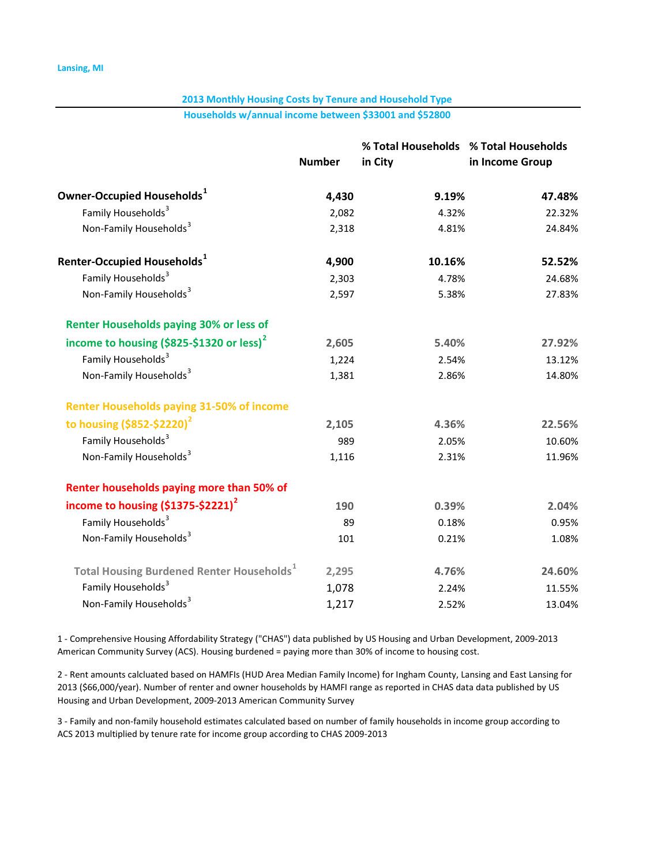Households w/annual income between \$33001 and \$52800

|                                                              |               | % Total Households % Total Households |                 |
|--------------------------------------------------------------|---------------|---------------------------------------|-----------------|
|                                                              | <b>Number</b> | in City                               | in Income Group |
| Owner-Occupied Households $^1$                               | 4,430         | 9.19%                                 | 47.48%          |
| Family Households <sup>3</sup>                               | 2,082         | 4.32%                                 | 22.32%          |
| Non-Family Households <sup>3</sup>                           | 2,318         | 4.81%                                 | 24.84%          |
| Renter-Occupied Households $^{\mathtt{1}}$                   | 4,900         | 10.16%                                | 52.52%          |
| Family Households <sup>3</sup>                               | 2,303         | 4.78%                                 | 24.68%          |
| Non-Family Households <sup>3</sup>                           | 2,597         | 5.38%                                 | 27.83%          |
| <b>Renter Households paying 30% or less of</b>               |               |                                       |                 |
| income to housing (\$825-\$1320 or less) <sup>2</sup>        | 2,605         | 5.40%                                 | 27.92%          |
| Family Households <sup>3</sup>                               | 1,224         | 2.54%                                 | 13.12%          |
| Non-Family Households <sup>3</sup>                           | 1,381         | 2.86%                                 | 14.80%          |
| <b>Renter Households paying 31-50% of income</b>             |               |                                       |                 |
| to housing $($ \$852-\$2220 $)^2$                            | 2,105         | 4.36%                                 | 22.56%          |
| Family Households <sup>3</sup>                               | 989           | 2.05%                                 | 10.60%          |
| Non-Family Households <sup>3</sup>                           | 1,116         | 2.31%                                 | 11.96%          |
| Renter households paying more than 50% of                    |               |                                       |                 |
| income to housing $(51375 - 52221)^2$                        | 190           | 0.39%                                 | 2.04%           |
| Family Households <sup>3</sup>                               | 89            | 0.18%                                 | 0.95%           |
| Non-Family Households <sup>3</sup>                           | 101           | 0.21%                                 | 1.08%           |
| <b>Total Housing Burdened Renter Households</b> <sup>1</sup> | 2,295         | 4.76%                                 | 24.60%          |
| Family Households <sup>3</sup>                               | 1,078         | 2.24%                                 | 11.55%          |
| Non-Family Households <sup>3</sup>                           | 1,217         | 2.52%                                 | 13.04%          |

1 - Comprehensive Housing Affordability Strategy ("CHAS") data published by US Housing and Urban Development, 2009-2013 American Community Survey (ACS). Housing burdened = paying more than 30% of income to housing cost.

2 - Rent amounts calcluated based on HAMFIs (HUD Area Median Family Income) for Ingham County, Lansing and East Lansing for 2013 (\$66,000/year). Number of renter and owner households by HAMFI range as reported in CHAS data data published by US Housing and Urban Development, 2009-2013 American Community Survey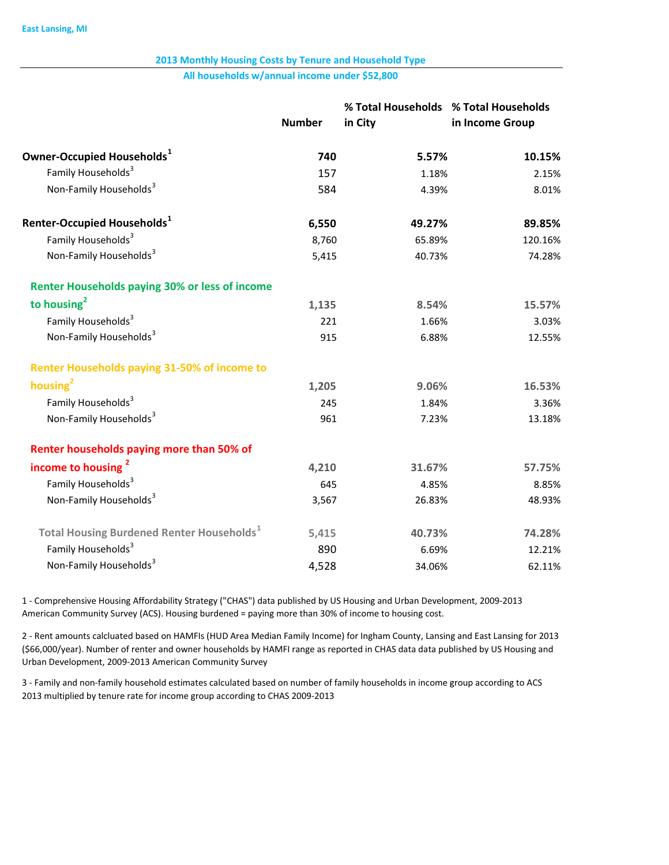All households w/annual income under \$52,800

|                                                              | <b>Number</b> | % Total Households % Total Households<br>in City | in Income Group |
|--------------------------------------------------------------|---------------|--------------------------------------------------|-----------------|
| Owner-Occupied Households <sup>1</sup>                       | 740           | 5.57%                                            | 10.15%          |
| Family Households <sup>3</sup>                               | 157           | 1.18%                                            | 2.15%           |
| Non-Family Households <sup>3</sup>                           | 584           | 4.39%                                            | 8.01%           |
| Renter-Occupied Households <sup>1</sup>                      | 6,550         | 49.27%                                           | 89.85%          |
| Family Households <sup>3</sup>                               | 8,760         | 65.89%                                           | 120.16%         |
| Non-Family Households <sup>3</sup>                           | 5,415         | 40.73%                                           | 74.28%          |
| <b>Renter Households paying 30% or less of income</b>        |               |                                                  |                 |
| to housing $2$                                               | 1,135         | 8.54%                                            | 15.57%          |
| Family Households <sup>3</sup>                               | 221           | 1.66%                                            | 3.03%           |
| Non-Family Households <sup>3</sup>                           | 915           | 6.88%                                            | 12.55%          |
| <b>Renter Households paying 31-50% of income to</b>          |               |                                                  |                 |
| housing $2$                                                  | 1,205         | 9.06%                                            | 16.53%          |
| Family Households <sup>3</sup>                               | 245           | 1.84%                                            | 3.36%           |
| Non-Family Households <sup>3</sup>                           | 961           | 7.23%                                            | 13.18%          |
| Renter households paying more than 50% of                    |               |                                                  |                 |
| income to housing <sup>2</sup>                               | 4,210         | 31.67%                                           | 57.75%          |
| Family Households <sup>3</sup>                               | 645           | 4.85%                                            | 8.85%           |
| Non-Family Households <sup>3</sup>                           | 3,567         | 26.83%                                           | 48.93%          |
| <b>Total Housing Burdened Renter Households</b> <sup>1</sup> | 5,415         | 40.73%                                           | 74.28%          |
| Family Households <sup>3</sup>                               | 890           | 6.69%                                            | 12.21%          |
| Non-Family Households <sup>3</sup>                           | 4,528         | 34.06%                                           | 62.11%          |

1 - Comprehensive Housing Affordability Strategy ("CHAS") data published by US Housing and Urban Development, 2009-2013 American Community Survey (ACS). Housing burdened = paying more than 30% of income to housing cost.

2 Rent amounts calcluated based on HAMFIs (HUD Area Median Family Income) for Ingham County, Lansing and East Lansing for 2013 (\$66,000/year). Number of renter and owner households by HAMFI range as reported in CHAS data data published by US Housing and Urban Development, 2009-2013 American Community Survey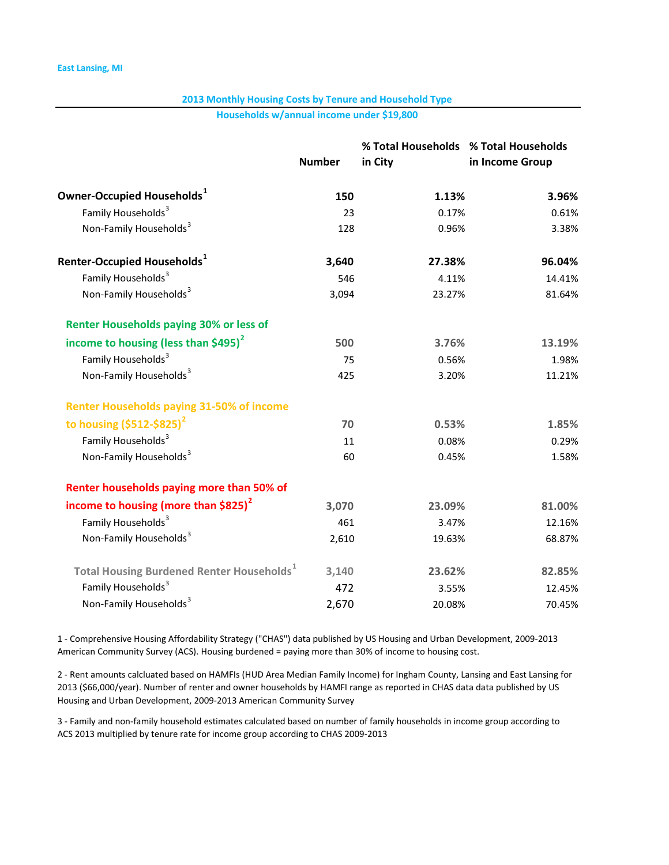Households w/annual income under \$19,800

|                                                              |               | % Total Households % Total Households |                 |
|--------------------------------------------------------------|---------------|---------------------------------------|-----------------|
|                                                              | <b>Number</b> | in City                               | in Income Group |
| Owner-Occupied Households <sup>1</sup>                       | 150           | 1.13%                                 | 3.96%           |
| Family Households <sup>3</sup>                               | 23            | 0.17%                                 | 0.61%           |
| Non-Family Households <sup>3</sup>                           | 128           | 0.96%                                 | 3.38%           |
| Renter-Occupied Households $^{\mathtt{1}}$                   | 3,640         | 27.38%                                | 96.04%          |
| Family Households <sup>3</sup>                               | 546           | 4.11%                                 | 14.41%          |
| Non-Family Households <sup>3</sup>                           | 3,094         | 23.27%                                | 81.64%          |
| <b>Renter Households paying 30% or less of</b>               |               |                                       |                 |
| income to housing (less than \$495) $^2$                     | 500           | 3.76%                                 | 13.19%          |
| Family Households <sup>3</sup>                               | 75            | 0.56%                                 | 1.98%           |
| Non-Family Households <sup>3</sup>                           | 425           | 3.20%                                 | 11.21%          |
| <b>Renter Households paying 31-50% of income</b>             |               |                                       |                 |
| to housing $(5512 - 5825)^2$                                 | 70            | 0.53%                                 | 1.85%           |
| Family Households <sup>3</sup>                               | 11            | 0.08%                                 | 0.29%           |
| Non-Family Households <sup>3</sup>                           | 60            | 0.45%                                 | 1.58%           |
| Renter households paying more than 50% of                    |               |                                       |                 |
| income to housing (more than $$825$ ) <sup>2</sup>           | 3,070         | 23.09%                                | 81.00%          |
| Family Households <sup>3</sup>                               | 461           | 3.47%                                 | 12.16%          |
| Non-Family Households <sup>3</sup>                           | 2,610         | 19.63%                                | 68.87%          |
| <b>Total Housing Burdened Renter Households</b> <sup>1</sup> | 3,140         | 23.62%                                | 82.85%          |
| Family Households <sup>3</sup>                               | 472           | 3.55%                                 | 12.45%          |
| Non-Family Households <sup>3</sup>                           | 2,670         | 20.08%                                | 70.45%          |

1 - Comprehensive Housing Affordability Strategy ("CHAS") data published by US Housing and Urban Development, 2009-2013 American Community Survey (ACS). Housing burdened = paying more than 30% of income to housing cost.

2 - Rent amounts calcluated based on HAMFIs (HUD Area Median Family Income) for Ingham County, Lansing and East Lansing for 2013 (\$66,000/year). Number of renter and owner households by HAMFI range as reported in CHAS data data published by US Housing and Urban Development, 2009-2013 American Community Survey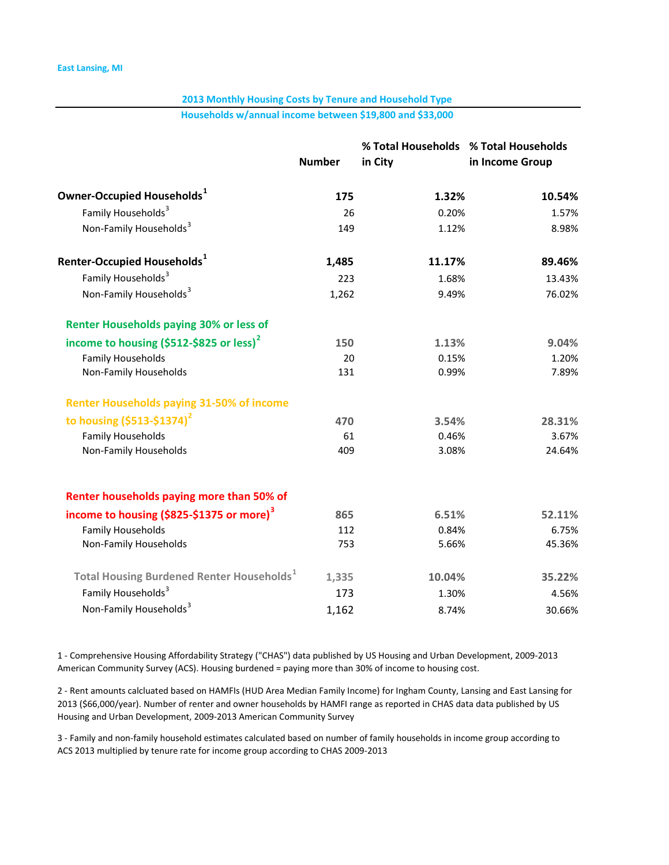Households w/annual income between \$19,800 and \$33,000

|                                                              | % Total Households % Total Households |         |                 |  |
|--------------------------------------------------------------|---------------------------------------|---------|-----------------|--|
|                                                              | <b>Number</b>                         | in City | in Income Group |  |
| Owner-Occupied Households <sup>1</sup>                       | 175                                   | 1.32%   | 10.54%          |  |
| Family Households <sup>3</sup>                               | 26                                    | 0.20%   | 1.57%           |  |
| Non-Family Households <sup>3</sup>                           | 149                                   | 1.12%   | 8.98%           |  |
| Renter-Occupied Households $^{\rm 1}$                        | 1,485                                 | 11.17%  | 89.46%          |  |
| Family Households <sup>3</sup>                               | 223                                   | 1.68%   | 13.43%          |  |
| Non-Family Households <sup>3</sup>                           | 1,262                                 | 9.49%   | 76.02%          |  |
| <b>Renter Households paying 30% or less of</b>               |                                       |         |                 |  |
| income to housing (\$512-\$825 or less) <sup>2</sup>         | 150                                   | 1.13%   | 9.04%           |  |
| <b>Family Households</b>                                     | 20                                    | 0.15%   | 1.20%           |  |
| Non-Family Households                                        | 131                                   | 0.99%   | 7.89%           |  |
| <b>Renter Households paying 31-50% of income</b>             |                                       |         |                 |  |
| to housing $(5513 - 51374)^2$                                | 470                                   | 3.54%   | 28.31%          |  |
| <b>Family Households</b>                                     | 61                                    | 0.46%   | 3.67%           |  |
| Non-Family Households                                        | 409                                   | 3.08%   | 24.64%          |  |
| Renter households paying more than 50% of                    |                                       |         |                 |  |
| income to housing (\$825-\$1375 or more) <sup>3</sup>        | 865                                   | 6.51%   | 52.11%          |  |
| <b>Family Households</b>                                     | 112                                   | 0.84%   | 6.75%           |  |
| Non-Family Households                                        | 753                                   | 5.66%   | 45.36%          |  |
| <b>Total Housing Burdened Renter Households</b> <sup>1</sup> | 1,335                                 | 10.04%  | 35.22%          |  |
| Family Households <sup>3</sup>                               | 173                                   | 1.30%   | 4.56%           |  |
| Non-Family Households <sup>3</sup>                           | 1,162                                 | 8.74%   | 30.66%          |  |
|                                                              |                                       |         |                 |  |

1 - Comprehensive Housing Affordability Strategy ("CHAS") data published by US Housing and Urban Development, 2009-2013 American Community Survey (ACS). Housing burdened = paying more than 30% of income to housing cost.

2 - Rent amounts calcluated based on HAMFIs (HUD Area Median Family Income) for Ingham County, Lansing and East Lansing for 2013 (\$66,000/year). Number of renter and owner households by HAMFI range as reported in CHAS data data published by US Housing and Urban Development, 2009-2013 American Community Survey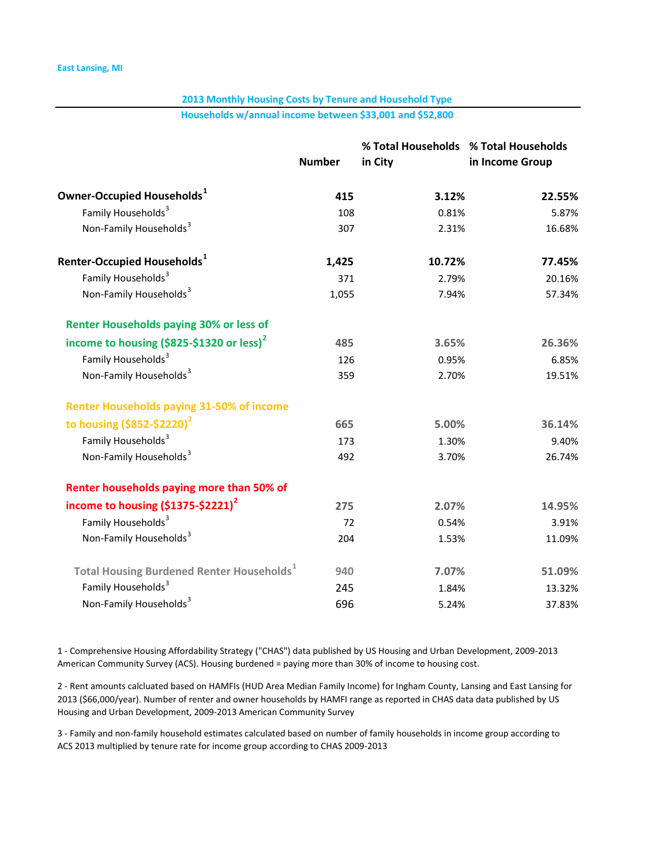Households w/annual income between \$33,001 and \$52,800

|                                                              |               | % Total Households % Total Households |                 |
|--------------------------------------------------------------|---------------|---------------------------------------|-----------------|
|                                                              | <b>Number</b> | in City                               | in Income Group |
| Owner-Occupied Households $^1$                               | 415           | 3.12%                                 | 22.55%          |
| Family Households <sup>3</sup>                               | 108           | 0.81%                                 | 5.87%           |
| Non-Family Households <sup>3</sup>                           | 307           | 2.31%                                 | 16.68%          |
| Renter-Occupied Households $^{\mathtt{1}}$                   | 1,425         | 10.72%                                | 77.45%          |
| Family Households <sup>3</sup>                               | 371           | 2.79%                                 | 20.16%          |
| Non-Family Households <sup>3</sup>                           | 1,055         | 7.94%                                 | 57.34%          |
| <b>Renter Households paying 30% or less of</b>               |               |                                       |                 |
| income to housing (\$825-\$1320 or less) <sup>2</sup>        | 485           | 3.65%                                 | 26.36%          |
| Family Households <sup>3</sup>                               | 126           | 0.95%                                 | 6.85%           |
| Non-Family Households <sup>3</sup>                           | 359           | 2.70%                                 | 19.51%          |
| <b>Renter Households paying 31-50% of income</b>             |               |                                       |                 |
| to housing $($ \$852-\$2220 $)^2$                            | 665           | 5.00%                                 | 36.14%          |
| Family Households <sup>3</sup>                               | 173           | 1.30%                                 | 9.40%           |
| Non-Family Households <sup>3</sup>                           | 492           | 3.70%                                 | 26.74%          |
| Renter households paying more than 50% of                    |               |                                       |                 |
| income to housing $(51375 - 52221)^2$                        | 275           | 2.07%                                 | 14.95%          |
| Family Households <sup>3</sup>                               | 72            | 0.54%                                 | 3.91%           |
| Non-Family Households <sup>3</sup>                           | 204           | 1.53%                                 | 11.09%          |
| <b>Total Housing Burdened Renter Households</b> <sup>1</sup> | 940           | 7.07%                                 | 51.09%          |
| Family Households <sup>3</sup>                               | 245           | 1.84%                                 | 13.32%          |
| Non-Family Households <sup>3</sup>                           | 696           | 5.24%                                 | 37.83%          |

1 - Comprehensive Housing Affordability Strategy ("CHAS") data published by US Housing and Urban Development, 2009-2013 American Community Survey (ACS). Housing burdened = paying more than 30% of income to housing cost.

2 - Rent amounts calcluated based on HAMFIs (HUD Area Median Family Income) for Ingham County, Lansing and East Lansing for 2013 (\$66,000/year). Number of renter and owner households by HAMFI range as reported in CHAS data data published by US Housing and Urban Development, 2009-2013 American Community Survey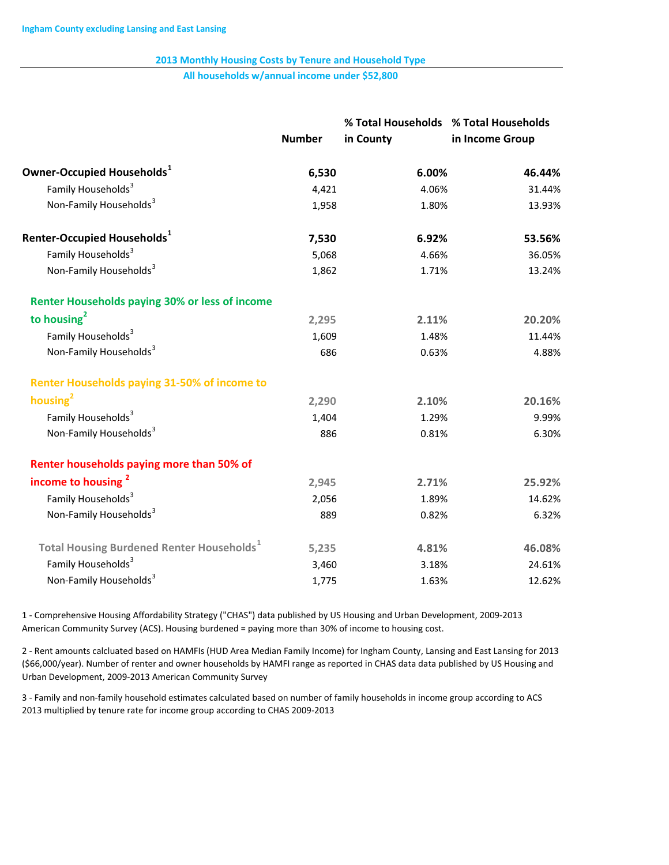All households w/annual income under \$52,800

|                                                              | <b>Number</b> | % Total Households % Total Households<br>in County | in Income Group |
|--------------------------------------------------------------|---------------|----------------------------------------------------|-----------------|
| Owner-Occupied Households <sup>1</sup>                       | 6,530         | 6.00%                                              | 46.44%          |
| Family Households <sup>3</sup>                               |               |                                                    |                 |
| Non-Family Households <sup>3</sup>                           | 4,421         | 4.06%                                              | 31.44%          |
|                                                              | 1,958         | 1.80%                                              | 13.93%          |
| Renter-Occupied Households <sup>1</sup>                      | 7,530         | 6.92%                                              | 53.56%          |
| Family Households <sup>3</sup>                               | 5,068         | 4.66%                                              | 36.05%          |
| Non-Family Households <sup>3</sup>                           | 1,862         | 1.71%                                              | 13.24%          |
| <b>Renter Households paying 30% or less of income</b>        |               |                                                    |                 |
| to housing <sup>2</sup>                                      | 2,295         | 2.11%                                              | 20.20%          |
| Family Households <sup>3</sup>                               | 1,609         | 1.48%                                              | 11.44%          |
| Non-Family Households <sup>3</sup>                           | 686           | 0.63%                                              | 4.88%           |
| <b>Renter Households paying 31-50% of income to</b>          |               |                                                    |                 |
| housing <sup>2</sup>                                         | 2,290         | 2.10%                                              | 20.16%          |
| Family Households <sup>3</sup>                               | 1,404         | 1.29%                                              | 9.99%           |
| Non-Family Households <sup>3</sup>                           | 886           | 0.81%                                              | 6.30%           |
| Renter households paying more than 50% of                    |               |                                                    |                 |
| income to housing <sup>2</sup>                               | 2,945         | 2.71%                                              | 25.92%          |
| Family Households <sup>3</sup>                               | 2,056         | 1.89%                                              | 14.62%          |
| Non-Family Households <sup>3</sup>                           | 889           | 0.82%                                              | 6.32%           |
| <b>Total Housing Burdened Renter Households</b> <sup>1</sup> | 5,235         | 4.81%                                              | 46.08%          |
| Family Households <sup>3</sup>                               | 3,460         | 3.18%                                              | 24.61%          |
| Non-Family Households <sup>3</sup>                           | 1,775         | 1.63%                                              | 12.62%          |
|                                                              |               |                                                    |                 |

1 Comprehensive Housing Affordability Strategy ("CHAS") data published by US Housing and Urban Development, 20092013 American Community Survey (ACS). Housing burdened = paying more than 30% of income to housing cost.

2 - Rent amounts calcluated based on HAMFIs (HUD Area Median Family Income) for Ingham County, Lansing and East Lansing for 2013 (\$66,000/year). Number of renter and owner households by HAMFI range as reported in CHAS data data published by US Housing and Urban Development, 2009-2013 American Community Survey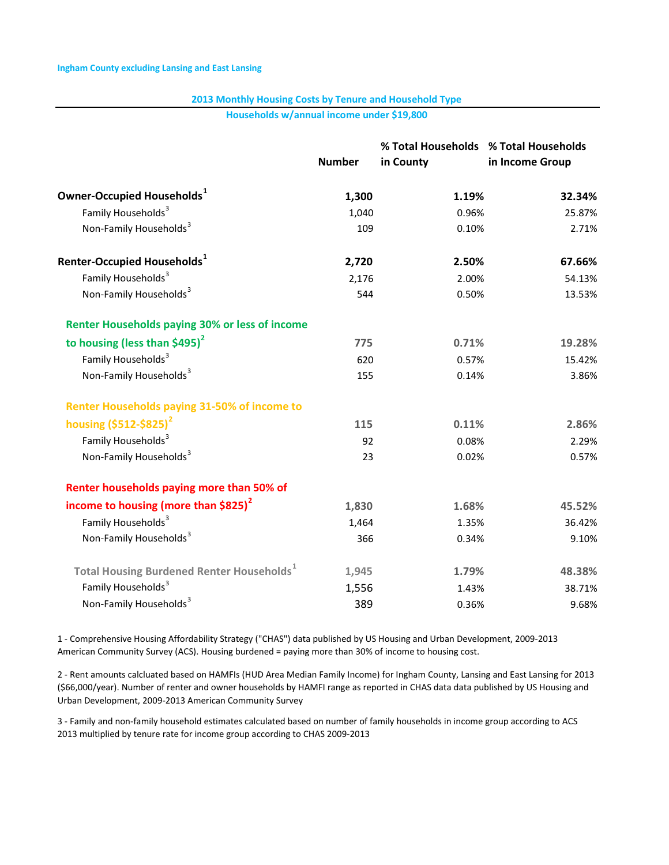Households w/annual income under \$19,800

|                                                              | <b>Number</b> | % Total Households % Total Households<br>in County | in Income Group |
|--------------------------------------------------------------|---------------|----------------------------------------------------|-----------------|
|                                                              |               |                                                    |                 |
| Owner-Occupied Households <sup>1</sup>                       | 1,300         | 1.19%                                              | 32.34%          |
| Family Households <sup>3</sup>                               | 1,040         | 0.96%                                              | 25.87%          |
| Non-Family Households <sup>3</sup>                           | 109           | 0.10%                                              | 2.71%           |
| Renter-Occupied Households <sup>1</sup>                      | 2,720         | 2.50%                                              | 67.66%          |
| Family Households <sup>3</sup>                               | 2,176         | 2.00%                                              | 54.13%          |
| Non-Family Households <sup>3</sup>                           | 544           | 0.50%                                              | 13.53%          |
| <b>Renter Households paying 30% or less of income</b>        |               |                                                    |                 |
| to housing (less than $$495$ ) <sup>2</sup>                  | 775           | 0.71%                                              | 19.28%          |
| Family Households <sup>3</sup>                               | 620           | 0.57%                                              | 15.42%          |
| Non-Family Households <sup>3</sup>                           | 155           | 0.14%                                              | 3.86%           |
| <b>Renter Households paying 31-50% of income to</b>          |               |                                                    |                 |
| housing (\$512-\$825) <sup>2</sup>                           | 115           | 0.11%                                              | 2.86%           |
| Family Households <sup>3</sup>                               | 92            | 0.08%                                              | 2.29%           |
| Non-Family Households <sup>3</sup>                           | 23            | 0.02%                                              | 0.57%           |
| Renter households paying more than 50% of                    |               |                                                    |                 |
| income to housing (more than $$825$ ) <sup>2</sup>           | 1,830         | 1.68%                                              | 45.52%          |
| Family Households <sup>3</sup>                               | 1,464         | 1.35%                                              | 36.42%          |
| Non-Family Households <sup>3</sup>                           | 366           | 0.34%                                              | 9.10%           |
| <b>Total Housing Burdened Renter Households</b> <sup>1</sup> | 1,945         | 1.79%                                              | 48.38%          |
| Family Households <sup>3</sup>                               | 1,556         | 1.43%                                              | 38.71%          |
| Non-Family Households <sup>3</sup>                           | 389           | 0.36%                                              | 9.68%           |

1 - Comprehensive Housing Affordability Strategy ("CHAS") data published by US Housing and Urban Development, 2009-2013 American Community Survey (ACS). Housing burdened = paying more than 30% of income to housing cost.

2 Rent amounts calcluated based on HAMFIs (HUD Area Median Family Income) for Ingham County, Lansing and East Lansing for 2013 (\$66,000/year). Number of renter and owner households by HAMFI range as reported in CHAS data data published by US Housing and Urban Development, 2009-2013 American Community Survey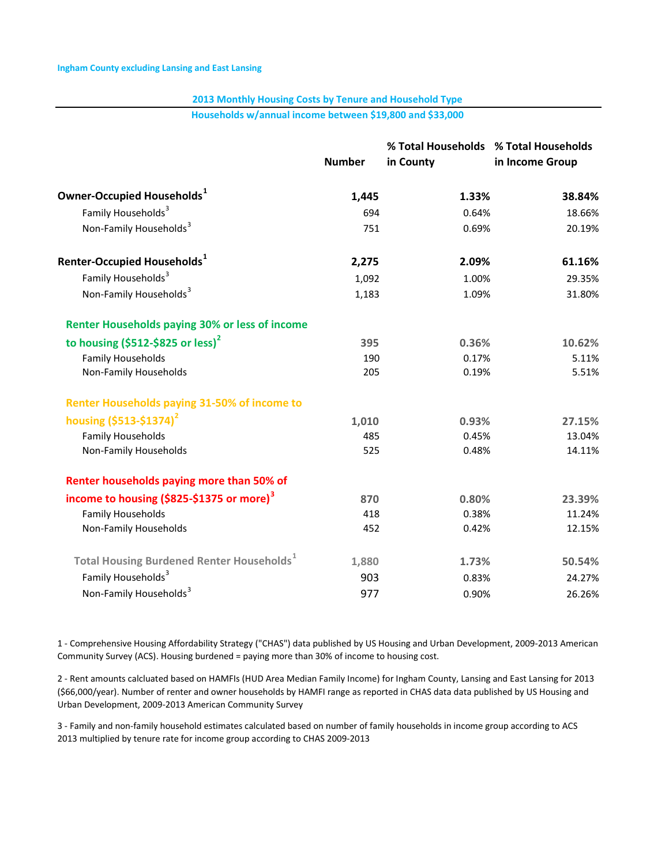Households w/annual income between \$19,800 and \$33,000

|                                                              | <b>Number</b> | % Total Households % Total Households<br>in County | in Income Group |
|--------------------------------------------------------------|---------------|----------------------------------------------------|-----------------|
| Owner-Occupied Households <sup>1</sup>                       | 1,445         | 1.33%                                              | 38.84%          |
| Family Households <sup>3</sup>                               | 694           | 0.64%                                              | 18.66%          |
| Non-Family Households <sup>3</sup>                           | 751           | 0.69%                                              | 20.19%          |
| Renter-Occupied Households <sup>1</sup>                      | 2,275         | 2.09%                                              | 61.16%          |
| Family Households <sup>3</sup>                               | 1,092         | 1.00%                                              | 29.35%          |
| Non-Family Households <sup>3</sup>                           | 1,183         | 1.09%                                              | 31.80%          |
| <b>Renter Households paying 30% or less of income</b>        |               |                                                    |                 |
| to housing $(5512 - 5825)$ or less) <sup>2</sup>             | 395           | 0.36%                                              | 10.62%          |
| <b>Family Households</b>                                     | 190           | 0.17%                                              | 5.11%           |
| Non-Family Households                                        | 205           | 0.19%                                              | 5.51%           |
| <b>Renter Households paying 31-50% of income to</b>          |               |                                                    |                 |
| housing $(5513 - 51374)^2$                                   | 1,010         | 0.93%                                              | 27.15%          |
| <b>Family Households</b>                                     | 485           | 0.45%                                              | 13.04%          |
| Non-Family Households                                        | 525           | 0.48%                                              | 14.11%          |
| Renter households paying more than 50% of                    |               |                                                    |                 |
| income to housing (\$825-\$1375 or more) <sup>3</sup>        | 870           | 0.80%                                              | 23.39%          |
| <b>Family Households</b>                                     | 418           | 0.38%                                              | 11.24%          |
| Non-Family Households                                        | 452           | 0.42%                                              | 12.15%          |
| <b>Total Housing Burdened Renter Households</b> <sup>1</sup> | 1,880         | 1.73%                                              | 50.54%          |
| Family Households <sup>3</sup>                               | 903           | 0.83%                                              | 24.27%          |
| Non-Family Households <sup>3</sup>                           | 977           | 0.90%                                              | 26.26%          |

1 Comprehensive Housing Affordability Strategy ("CHAS") data published by US Housing and Urban Development, 20092013 American Community Survey (ACS). Housing burdened = paying more than 30% of income to housing cost.

2 Rent amounts calcluated based on HAMFIs (HUD Area Median Family Income) for Ingham County, Lansing and East Lansing for 2013 (\$66,000/year). Number of renter and owner households by HAMFI range as reported in CHAS data data published by US Housing and Urban Development, 2009-2013 American Community Survey